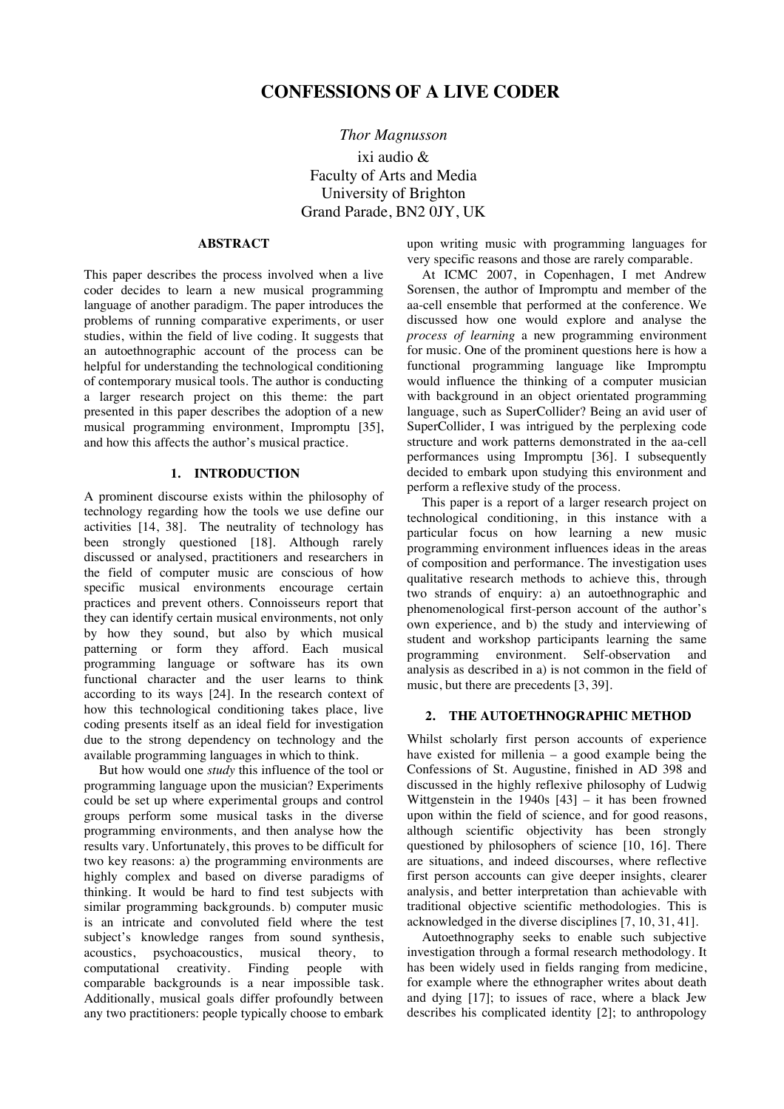# **CONFESSIONS OF A LIVE CODER**

*Thor Magnusson* ixi audio & Faculty of Arts and Media University of Brighton Grand Parade, BN2 0JY, UK

#### **ABSTRACT**

This paper describes the process involved when a live coder decides to learn a new musical programming language of another paradigm. The paper introduces the problems of running comparative experiments, or user studies, within the field of live coding. It suggests that an autoethnographic account of the process can be helpful for understanding the technological conditioning of contemporary musical tools. The author is conducting a larger research project on this theme: the part presented in this paper describes the adoption of a new musical programming environment, Impromptu [35], and how this affects the author's musical practice.

## **1. INTRODUCTION**

A prominent discourse exists within the philosophy of technology regarding how the tools we use define our activities [14, 38]. The neutrality of technology has been strongly questioned [18]. Although rarely discussed or analysed, practitioners and researchers in the field of computer music are conscious of how specific musical environments encourage certain practices and prevent others. Connoisseurs report that they can identify certain musical environments, not only by how they sound, but also by which musical patterning or form they afford. Each musical programming language or software has its own functional character and the user learns to think according to its ways [24]. In the research context of how this technological conditioning takes place, live coding presents itself as an ideal field for investigation due to the strong dependency on technology and the available programming languages in which to think.

But how would one *study* this influence of the tool or programming language upon the musician? Experiments could be set up where experimental groups and control groups perform some musical tasks in the diverse programming environments, and then analyse how the results vary. Unfortunately, this proves to be difficult for two key reasons: a) the programming environments are highly complex and based on diverse paradigms of thinking. It would be hard to find test subjects with similar programming backgrounds. b) computer music is an intricate and convoluted field where the test subject's knowledge ranges from sound synthesis, acoustics, psychoacoustics, musical theory, to computational creativity. Finding people with comparable backgrounds is a near impossible task. Additionally, musical goals differ profoundly between any two practitioners: people typically choose to embark

upon writing music with programming languages for very specific reasons and those are rarely comparable.

At ICMC 2007, in Copenhagen, I met Andrew Sorensen, the author of Impromptu and member of the aa-cell ensemble that performed at the conference. We discussed how one would explore and analyse the *process of learning* a new programming environment for music. One of the prominent questions here is how a functional programming language like Impromptu would influence the thinking of a computer musician with background in an object orientated programming language, such as SuperCollider? Being an avid user of SuperCollider, I was intrigued by the perplexing code structure and work patterns demonstrated in the aa-cell performances using Impromptu [36]. I subsequently decided to embark upon studying this environment and perform a reflexive study of the process.

This paper is a report of a larger research project on technological conditioning, in this instance with a particular focus on how learning a new music programming environment influences ideas in the areas of composition and performance. The investigation uses qualitative research methods to achieve this, through two strands of enquiry: a) an autoethnographic and phenomenological first-person account of the author's own experience, and b) the study and interviewing of student and workshop participants learning the same programming environment. Self-observation and analysis as described in a) is not common in the field of music, but there are precedents [3, 39].

#### **2. THE AUTOETHNOGRAPHIC METHOD**

Whilst scholarly first person accounts of experience have existed for millenia – a good example being the Confessions of St. Augustine, finished in AD 398 and discussed in the highly reflexive philosophy of Ludwig Wittgenstein in the  $1940s$   $[43]$  – it has been frowned upon within the field of science, and for good reasons, although scientific objectivity has been strongly questioned by philosophers of science [10, 16]. There are situations, and indeed discourses, where reflective first person accounts can give deeper insights, clearer analysis, and better interpretation than achievable with traditional objective scientific methodologies. This is acknowledged in the diverse disciplines [7, 10, 31, 41].

Autoethnography seeks to enable such subjective investigation through a formal research methodology. It has been widely used in fields ranging from medicine, for example where the ethnographer writes about death and dying [17]; to issues of race, where a black Jew describes his complicated identity [2]; to anthropology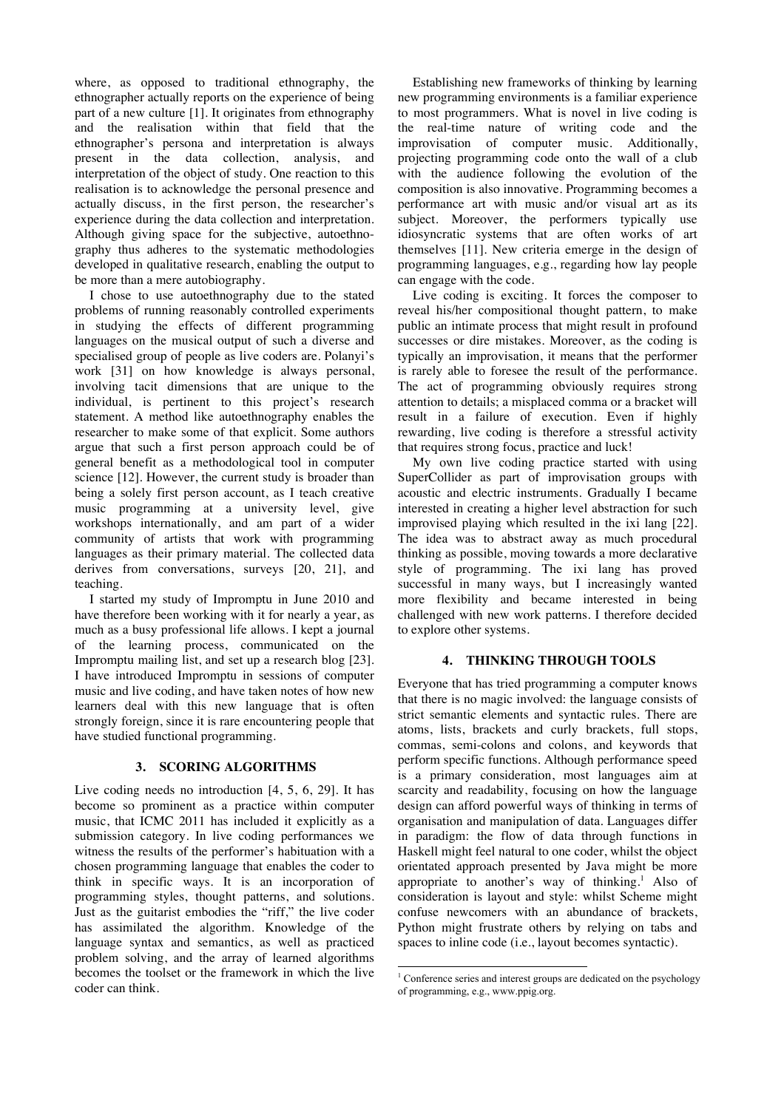where, as opposed to traditional ethnography, the ethnographer actually reports on the experience of being part of a new culture [1]. It originates from ethnography and the realisation within that field that the ethnographer's persona and interpretation is always present in the data collection, analysis, and interpretation of the object of study. One reaction to this realisation is to acknowledge the personal presence and actually discuss, in the first person, the researcher's experience during the data collection and interpretation. Although giving space for the subjective, autoethnography thus adheres to the systematic methodologies developed in qualitative research, enabling the output to be more than a mere autobiography.

I chose to use autoethnography due to the stated problems of running reasonably controlled experiments in studying the effects of different programming languages on the musical output of such a diverse and specialised group of people as live coders are. Polanyi's work [31] on how knowledge is always personal, involving tacit dimensions that are unique to the individual, is pertinent to this project's research statement. A method like autoethnography enables the researcher to make some of that explicit. Some authors argue that such a first person approach could be of general benefit as a methodological tool in computer science [12]. However, the current study is broader than being a solely first person account, as I teach creative music programming at a university level, give workshops internationally, and am part of a wider community of artists that work with programming languages as their primary material. The collected data derives from conversations, surveys [20, 21], and teaching.

I started my study of Impromptu in June 2010 and have therefore been working with it for nearly a year, as much as a busy professional life allows. I kept a journal of the learning process, communicated on the Impromptu mailing list, and set up a research blog [23]. I have introduced Impromptu in sessions of computer music and live coding, and have taken notes of how new learners deal with this new language that is often strongly foreign, since it is rare encountering people that have studied functional programming.

#### **3. SCORING ALGORITHMS**

Live coding needs no introduction [4, 5, 6, 29]. It has become so prominent as a practice within computer music, that ICMC 2011 has included it explicitly as a submission category. In live coding performances we witness the results of the performer's habituation with a chosen programming language that enables the coder to think in specific ways. It is an incorporation of programming styles, thought patterns, and solutions. Just as the guitarist embodies the "riff," the live coder has assimilated the algorithm. Knowledge of the language syntax and semantics, as well as practiced problem solving, and the array of learned algorithms becomes the toolset or the framework in which the live coder can think.

Establishing new frameworks of thinking by learning new programming environments is a familiar experience to most programmers. What is novel in live coding is the real-time nature of writing code and the improvisation of computer music. Additionally, projecting programming code onto the wall of a club with the audience following the evolution of the composition is also innovative. Programming becomes a performance art with music and/or visual art as its subject. Moreover, the performers typically use idiosyncratic systems that are often works of art themselves [11]. New criteria emerge in the design of programming languages, e.g., regarding how lay people can engage with the code.

Live coding is exciting. It forces the composer to reveal his/her compositional thought pattern, to make public an intimate process that might result in profound successes or dire mistakes. Moreover, as the coding is typically an improvisation, it means that the performer is rarely able to foresee the result of the performance. The act of programming obviously requires strong attention to details; a misplaced comma or a bracket will result in a failure of execution. Even if highly rewarding, live coding is therefore a stressful activity that requires strong focus, practice and luck!

My own live coding practice started with using SuperCollider as part of improvisation groups with acoustic and electric instruments. Gradually I became interested in creating a higher level abstraction for such improvised playing which resulted in the ixi lang [22]. The idea was to abstract away as much procedural thinking as possible, moving towards a more declarative style of programming. The ixi lang has proved successful in many ways, but I increasingly wanted more flexibility and became interested in being challenged with new work patterns. I therefore decided to explore other systems.

## **4. THINKING THROUGH TOOLS**

Everyone that has tried programming a computer knows that there is no magic involved: the language consists of strict semantic elements and syntactic rules. There are atoms, lists, brackets and curly brackets, full stops, commas, semi-colons and colons, and keywords that perform specific functions. Although performance speed is a primary consideration, most languages aim at scarcity and readability, focusing on how the language design can afford powerful ways of thinking in terms of organisation and manipulation of data. Languages differ in paradigm: the flow of data through functions in Haskell might feel natural to one coder, whilst the object orientated approach presented by Java might be more appropriate to another's way of thinking.<sup>1</sup> Also of consideration is layout and style: whilst Scheme might confuse newcomers with an abundance of brackets, Python might frustrate others by relying on tabs and spaces to inline code (i.e., layout becomes syntactic).

 $\frac{1}{1}$ <sup>1</sup> Conference series and interest groups are dedicated on the psychology of programming, e.g., www.ppig.org.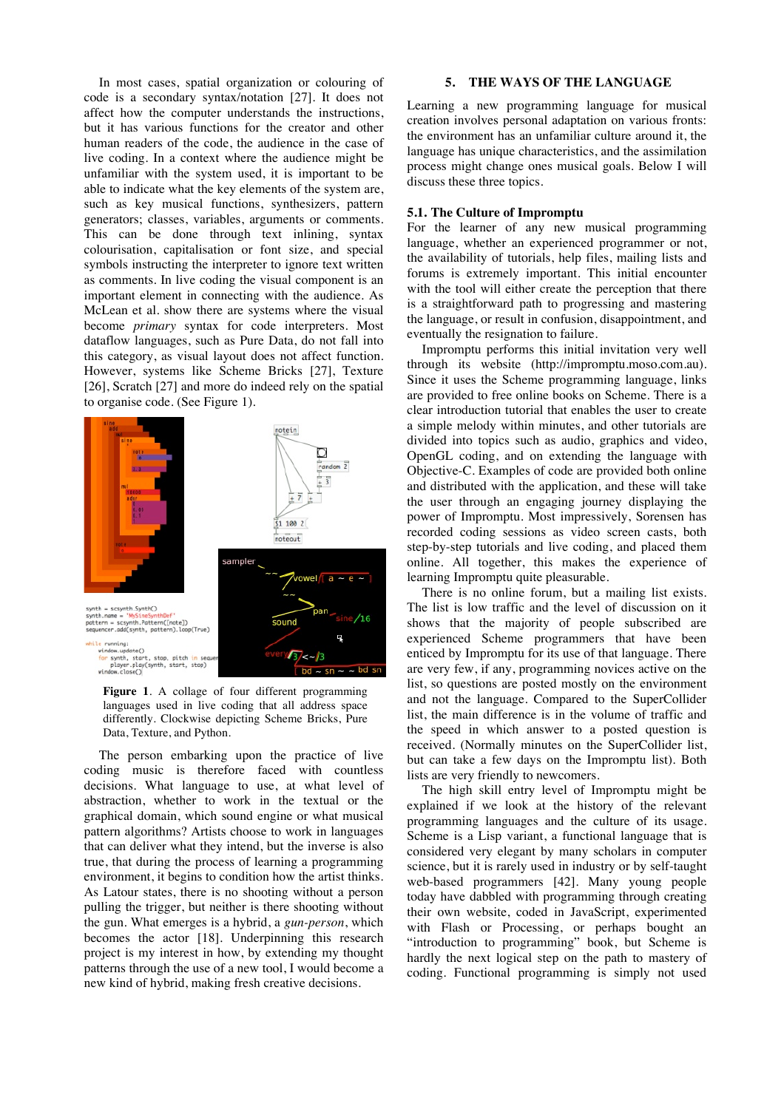In most cases, spatial organization or colouring of code is a secondary syntax/notation [27]. It does not affect how the computer understands the instructions, but it has various functions for the creator and other human readers of the code, the audience in the case of live coding. In a context where the audience might be unfamiliar with the system used, it is important to be able to indicate what the key elements of the system are, such as key musical functions, synthesizers, pattern generators; classes, variables, arguments or comments. This can be done through text inlining, syntax colourisation, capitalisation or font size, and special symbols instructing the interpreter to ignore text written as comments. In live coding the visual component is an important element in connecting with the audience. As McLean et al. show there are systems where the visual become *primary* syntax for code interpreters. Most dataflow languages, such as Pure Data, do not fall into this category, as visual layout does not affect function. However, systems like Scheme Bricks [27], Texture [26], Scratch [27] and more do indeed rely on the spatial to organise code. (See Figure 1).



**Figure 1**. A collage of four different programming languages used in live coding that all address space differently. Clockwise depicting Scheme Bricks, Pure Data, Texture, and Python.

The person embarking upon the practice of live coding music is therefore faced with countless decisions. What language to use, at what level of abstraction, whether to work in the textual or the graphical domain, which sound engine or what musical pattern algorithms? Artists choose to work in languages that can deliver what they intend, but the inverse is also true, that during the process of learning a programming environment, it begins to condition how the artist thinks. As Latour states, there is no shooting without a person pulling the trigger, but neither is there shooting without the gun. What emerges is a hybrid, a *gun-person*, which becomes the actor [18]. Underpinning this research project is my interest in how, by extending my thought patterns through the use of a new tool, I would become a new kind of hybrid, making fresh creative decisions.

## **5. THE WAYS OF THE LANGUAGE**

Learning a new programming language for musical creation involves personal adaptation on various fronts: the environment has an unfamiliar culture around it, the language has unique characteristics, and the assimilation process might change ones musical goals. Below I will discuss these three topics.

## **5.1. The Culture of Impromptu**

For the learner of any new musical programming language, whether an experienced programmer or not, the availability of tutorials, help files, mailing lists and forums is extremely important. This initial encounter with the tool will either create the perception that there is a straightforward path to progressing and mastering the language, or result in confusion, disappointment, and eventually the resignation to failure.

Impromptu performs this initial invitation very well through its website (http://impromptu.moso.com.au). Since it uses the Scheme programming language, links are provided to free online books on Scheme. There is a clear introduction tutorial that enables the user to create a simple melody within minutes, and other tutorials are divided into topics such as audio, graphics and video, OpenGL coding, and on extending the language with Objective-C. Examples of code are provided both online and distributed with the application, and these will take the user through an engaging journey displaying the power of Impromptu. Most impressively, Sorensen has recorded coding sessions as video screen casts, both step-by-step tutorials and live coding, and placed them online. All together, this makes the experience of learning Impromptu quite pleasurable.

There is no online forum, but a mailing list exists. The list is low traffic and the level of discussion on it shows that the majority of people subscribed are experienced Scheme programmers that have been enticed by Impromptu for its use of that language. There are very few, if any, programming novices active on the list, so questions are posted mostly on the environment and not the language. Compared to the SuperCollider list, the main difference is in the volume of traffic and the speed in which answer to a posted question is received. (Normally minutes on the SuperCollider list, but can take a few days on the Impromptu list). Both lists are very friendly to newcomers.

The high skill entry level of Impromptu might be explained if we look at the history of the relevant programming languages and the culture of its usage. Scheme is a Lisp variant, a functional language that is considered very elegant by many scholars in computer science, but it is rarely used in industry or by self-taught web-based programmers [42]. Many young people today have dabbled with programming through creating their own website, coded in JavaScript, experimented with Flash or Processing, or perhaps bought an "introduction to programming" book, but Scheme is hardly the next logical step on the path to mastery of coding. Functional programming is simply not used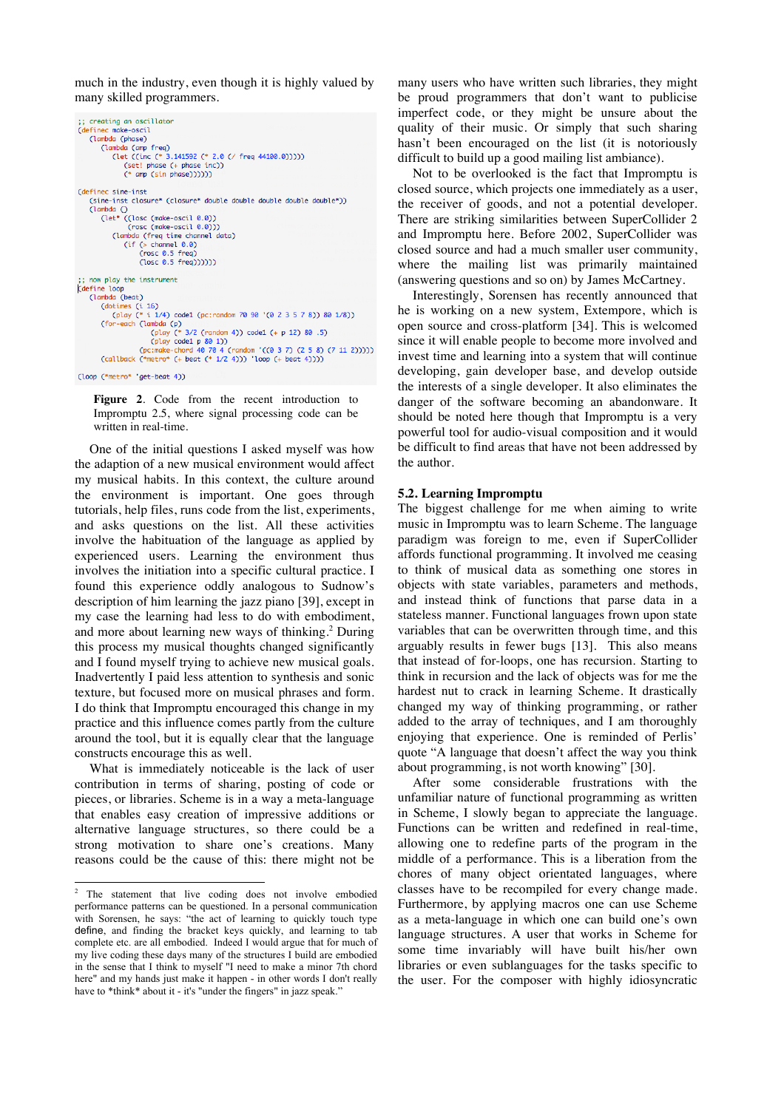much in the industry, even though it is highly valued by many skilled programmers.

```
;; creating an oscillator
(defined make-oscil
     (lambda (phase)
         (lambda (amp freq)
              (let ((inc (* 3.141592 (* 2.0 (/ freq 44100.0)))))
                   (set! phase (+ phase inc))<br>(* amp (sin phase))))))
(definec sine-inst
     (sine-inst closure* (closure* double double double double double*))
     C1ambda C2(let* ((losc (make-oscil 0.0))<br>(rosc (make-oscil 0.0)))
              (lambda (freq time channel data)
                   (if (s channel 0.0)(\text{rosc } 0.5 \text{ freq})<br>(\text{losc } 0.5 \text{ freq})))));; now play the instrument<br>(define loop
     (lambda (beat)
         (dotimes (i 16)<br>(play (* i 1/4) code1 (pc:random 70 90 '(0 2 3 5 7 8)) 80 1/8))
         (Play (* 1 1/4) coel (pc:random 70 90 '(0 2 3 5 7 8)) 80 1/8))<br>
(for-each (lambda (p)<br>
(play (* 3/2 (random 4)) code1 (+ p 12) 80 .5)<br>
(play coel p 80 1))<br>
(pez:make-chord 40 70 4 (random '((0 3 7) (2 5 8) (7 11 2)))))<br>
(
```
(loop (\*metro\* 'get-beat 4))

**Figure 2**. Code from the recent introduction to Impromptu 2.5, where signal processing code can be written in real-time.

One of the initial questions I asked myself was how the adaption of a new musical environment would affect my musical habits. In this context, the culture around the environment is important. One goes through tutorials, help files, runs code from the list, experiments, and asks questions on the list. All these activities involve the habituation of the language as applied by experienced users. Learning the environment thus involves the initiation into a specific cultural practice. I found this experience oddly analogous to Sudnow's description of him learning the jazz piano [39], except in my case the learning had less to do with embodiment, and more about learning new ways of thinking. 2 During this process my musical thoughts changed significantly and I found myself trying to achieve new musical goals. Inadvertently I paid less attention to synthesis and sonic texture, but focused more on musical phrases and form. I do think that Impromptu encouraged this change in my practice and this influence comes partly from the culture around the tool, but it is equally clear that the language constructs encourage this as well.

What is immediately noticeable is the lack of user contribution in terms of sharing, posting of code or pieces, or libraries. Scheme is in a way a meta-language that enables easy creation of impressive additions or alternative language structures, so there could be a strong motivation to share one's creations. Many reasons could be the cause of this: there might not be many users who have written such libraries, they might be proud programmers that don't want to publicise imperfect code, or they might be unsure about the quality of their music. Or simply that such sharing hasn't been encouraged on the list (it is notoriously difficult to build up a good mailing list ambiance).

Not to be overlooked is the fact that Impromptu is closed source, which projects one immediately as a user, the receiver of goods, and not a potential developer. There are striking similarities between SuperCollider 2 and Impromptu here. Before 2002, SuperCollider was closed source and had a much smaller user community, where the mailing list was primarily maintained (answering questions and so on) by James McCartney.

Interestingly, Sorensen has recently announced that he is working on a new system, Extempore, which is open source and cross-platform [34]. This is welcomed since it will enable people to become more involved and invest time and learning into a system that will continue developing, gain developer base, and develop outside the interests of a single developer. It also eliminates the danger of the software becoming an abandonware. It should be noted here though that Impromptu is a very powerful tool for audio-visual composition and it would be difficult to find areas that have not been addressed by the author.

## **5.2. Learning Impromptu**

The biggest challenge for me when aiming to write music in Impromptu was to learn Scheme. The language paradigm was foreign to me, even if SuperCollider affords functional programming. It involved me ceasing to think of musical data as something one stores in objects with state variables, parameters and methods, and instead think of functions that parse data in a stateless manner. Functional languages frown upon state variables that can be overwritten through time, and this arguably results in fewer bugs [13]. This also means that instead of for-loops, one has recursion. Starting to think in recursion and the lack of objects was for me the hardest nut to crack in learning Scheme. It drastically changed my way of thinking programming, or rather added to the array of techniques, and I am thoroughly enjoying that experience. One is reminded of Perlis' quote "A language that doesn't affect the way you think about programming, is not worth knowing" [30].

After some considerable frustrations with the unfamiliar nature of functional programming as written in Scheme, I slowly began to appreciate the language. Functions can be written and redefined in real-time, allowing one to redefine parts of the program in the middle of a performance. This is a liberation from the chores of many object orientated languages, where classes have to be recompiled for every change made. Furthermore, by applying macros one can use Scheme as a meta-language in which one can build one's own language structures. A user that works in Scheme for some time invariably will have built his/her own libraries or even sublanguages for the tasks specific to the user. For the composer with highly idiosyncratic

 <sup>2</sup> The statement that live coding does not involve embodied performance patterns can be questioned. In a personal communication with Sorensen, he says: "the act of learning to quickly touch type define, and finding the bracket keys quickly, and learning to tab complete etc. are all embodied. Indeed I would argue that for much of my live coding these days many of the structures I build are embodied in the sense that I think to myself "I need to make a minor 7th chord here" and my hands just make it happen - in other words I don't really have to \*think\* about it - it's "under the fingers" in jazz speak.'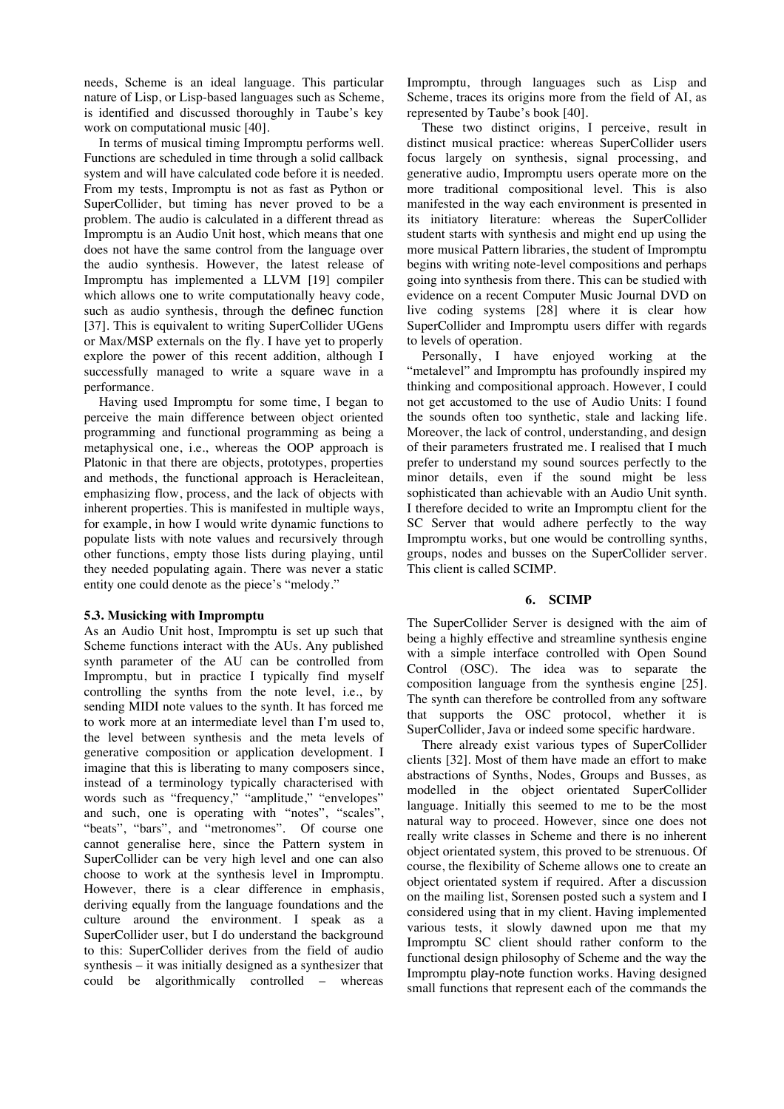needs, Scheme is an ideal language. This particular nature of Lisp, or Lisp-based languages such as Scheme, is identified and discussed thoroughly in Taube's key work on computational music [40].

In terms of musical timing Impromptu performs well. Functions are scheduled in time through a solid callback system and will have calculated code before it is needed. From my tests, Impromptu is not as fast as Python or SuperCollider, but timing has never proved to be a problem. The audio is calculated in a different thread as Impromptu is an Audio Unit host, which means that one does not have the same control from the language over the audio synthesis. However, the latest release of Impromptu has implemented a LLVM [19] compiler which allows one to write computationally heavy code, such as audio synthesis, through the definec function [37]. This is equivalent to writing SuperCollider UGens or Max/MSP externals on the fly. I have yet to properly explore the power of this recent addition, although I successfully managed to write a square wave in a performance.

Having used Impromptu for some time, I began to perceive the main difference between object oriented programming and functional programming as being a metaphysical one, i.e., whereas the OOP approach is Platonic in that there are objects, prototypes, properties and methods, the functional approach is Heracleitean, emphasizing flow, process, and the lack of objects with inherent properties. This is manifested in multiple ways, for example, in how I would write dynamic functions to populate lists with note values and recursively through other functions, empty those lists during playing, until they needed populating again. There was never a static entity one could denote as the piece's "melody."

#### **5.3. Musicking with Impromptu**

As an Audio Unit host, Impromptu is set up such that Scheme functions interact with the AUs. Any published synth parameter of the AU can be controlled from Impromptu, but in practice I typically find myself controlling the synths from the note level, i.e., by sending MIDI note values to the synth. It has forced me to work more at an intermediate level than I'm used to, the level between synthesis and the meta levels of generative composition or application development. I imagine that this is liberating to many composers since, instead of a terminology typically characterised with words such as "frequency," "amplitude," "envelopes" and such, one is operating with "notes", "scales", "beats", "bars", and "metronomes". Of course one cannot generalise here, since the Pattern system in SuperCollider can be very high level and one can also choose to work at the synthesis level in Impromptu. However, there is a clear difference in emphasis, deriving equally from the language foundations and the culture around the environment. I speak as a SuperCollider user, but I do understand the background to this: SuperCollider derives from the field of audio synthesis – it was initially designed as a synthesizer that could be algorithmically controlled – whereas Impromptu, through languages such as Lisp and Scheme, traces its origins more from the field of AI, as represented by Taube's book [40].

These two distinct origins, I perceive, result in distinct musical practice: whereas SuperCollider users focus largely on synthesis, signal processing, and generative audio, Impromptu users operate more on the more traditional compositional level. This is also manifested in the way each environment is presented in its initiatory literature: whereas the SuperCollider student starts with synthesis and might end up using the more musical Pattern libraries, the student of Impromptu begins with writing note-level compositions and perhaps going into synthesis from there. This can be studied with evidence on a recent Computer Music Journal DVD on live coding systems [28] where it is clear how SuperCollider and Impromptu users differ with regards to levels of operation.

Personally, I have enjoyed working at the "metalevel" and Impromptu has profoundly inspired my thinking and compositional approach. However, I could not get accustomed to the use of Audio Units: I found the sounds often too synthetic, stale and lacking life. Moreover, the lack of control, understanding, and design of their parameters frustrated me. I realised that I much prefer to understand my sound sources perfectly to the minor details, even if the sound might be less sophisticated than achievable with an Audio Unit synth. I therefore decided to write an Impromptu client for the SC Server that would adhere perfectly to the way Impromptu works, but one would be controlling synths, groups, nodes and busses on the SuperCollider server. This client is called SCIMP.

## **6. SCIMP**

The SuperCollider Server is designed with the aim of being a highly effective and streamline synthesis engine with a simple interface controlled with Open Sound Control (OSC). The idea was to separate the composition language from the synthesis engine [25]. The synth can therefore be controlled from any software that supports the OSC protocol, whether it is SuperCollider, Java or indeed some specific hardware.

There already exist various types of SuperCollider clients [32]. Most of them have made an effort to make abstractions of Synths, Nodes, Groups and Busses, as modelled in the object orientated SuperCollider language. Initially this seemed to me to be the most natural way to proceed. However, since one does not really write classes in Scheme and there is no inherent object orientated system, this proved to be strenuous. Of course, the flexibility of Scheme allows one to create an object orientated system if required. After a discussion on the mailing list, Sorensen posted such a system and I considered using that in my client. Having implemented various tests, it slowly dawned upon me that my Impromptu SC client should rather conform to the functional design philosophy of Scheme and the way the Impromptu play-note function works. Having designed small functions that represent each of the commands the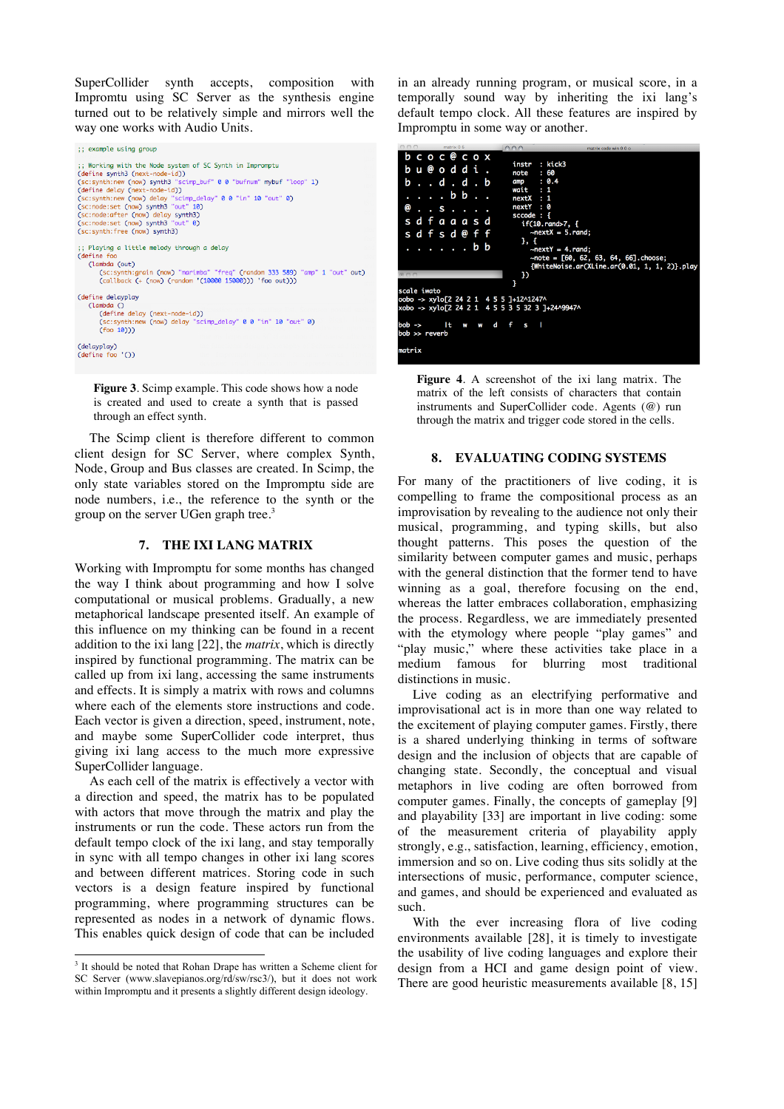SuperCollider synth accepts, composition with Impromtu using SC Server as the synthesis engine turned out to be relatively simple and mirrors well the way one works with Audio Units.

```
:: example using aroup
;; Working with the Node system of SC Synth in Impromptu<br>(define synth3 (next-node-id))<br>(sc:synth:new (now) synth3 "scimp_buf" 0 0 "bufnum" mybuf "loop" 1)<br>(define delay (next-node-id))<br>(sc:synth:new (now) delay "scimp_de
 (sc:synth:free (now) synth3)
  :: Playing a little melody through a delay
 (define for
      (lambda (out)
           ampaa (out)<br>(sc:synth:grain (now) "marimba" "freq" (random 333 589) "amp" 1 "out" out)<br>(callback (+ (now) (random '(10000 15000))) 'foo out)))
 (define delayplay)
      (lambda ()<br>
(define delay (next-node-id))<br>
(sc:synth:new (now) delay "scimp_delay" 0 0 "in" 10 "out" 0)<br>
(foo 10)))
 (delayplay)<br>(define foo '())
```
**Figure 3**. Scimp example. This code shows how a node is created and used to create a synth that is passed through an effect synth.

The Scimp client is therefore different to common client design for SC Server, where complex Synth, Node, Group and Bus classes are created. In Scimp, the only state variables stored on the Impromptu side are node numbers, i.e., the reference to the synth or the group on the server UGen graph tree.<sup>3</sup>

## **7. THE IXI LANG MATRIX**

Working with Impromptu for some months has changed the way I think about programming and how I solve computational or musical problems. Gradually, a new metaphorical landscape presented itself. An example of this influence on my thinking can be found in a recent addition to the ixi lang [22], the *matrix*, which is directly inspired by functional programming. The matrix can be called up from ixi lang, accessing the same instruments and effects. It is simply a matrix with rows and columns where each of the elements store instructions and code. Each vector is given a direction, speed, instrument, note, and maybe some SuperCollider code interpret, thus giving ixi lang access to the much more expressive SuperCollider language.

As each cell of the matrix is effectively a vector with a direction and speed, the matrix has to be populated with actors that move through the matrix and play the instruments or run the code. These actors run from the default tempo clock of the ixi lang, and stay temporally in sync with all tempo changes in other ixi lang scores and between different matrices. Storing code in such vectors is a design feature inspired by functional programming, where programming structures can be represented as nodes in a network of dynamic flows. This enables quick design of code that can be included in an already running program, or musical score, in a temporally sound way by inheriting the ixi lang's default tempo clock. All these features are inspired by Impromptu in some way or another.



**Figure 4**. A screenshot of the ixi lang matrix. The matrix of the left consists of characters that contain instruments and SuperCollider code. Agents (@) run through the matrix and trigger code stored in the cells.

#### **8. EVALUATING CODING SYSTEMS**

For many of the practitioners of live coding, it is compelling to frame the compositional process as an improvisation by revealing to the audience not only their musical, programming, and typing skills, but also thought patterns. This poses the question of the similarity between computer games and music, perhaps with the general distinction that the former tend to have winning as a goal, therefore focusing on the end, whereas the latter embraces collaboration, emphasizing the process. Regardless, we are immediately presented with the etymology where people "play games" and "play music," where these activities take place in a medium famous for blurring most traditional distinctions in music.

Live coding as an electrifying performative and improvisational act is in more than one way related to the excitement of playing computer games. Firstly, there is a shared underlying thinking in terms of software design and the inclusion of objects that are capable of changing state. Secondly, the conceptual and visual metaphors in live coding are often borrowed from computer games. Finally, the concepts of gameplay [9] and playability [33] are important in live coding: some of the measurement criteria of playability apply strongly, e.g., satisfaction, learning, efficiency, emotion, immersion and so on. Live coding thus sits solidly at the intersections of music, performance, computer science, and games, and should be experienced and evaluated as such.

With the ever increasing flora of live coding environments available [28], it is timely to investigate the usability of live coding languages and explore their design from a HCI and game design point of view. There are good heuristic measurements available [8, 15]

 $\frac{1}{3}$ <sup>3</sup> It should be noted that Rohan Drape has written a Scheme client for SC Server (www.slavepianos.org/rd/sw/rsc3/), but it does not work within Impromptu and it presents a slightly different design ideology.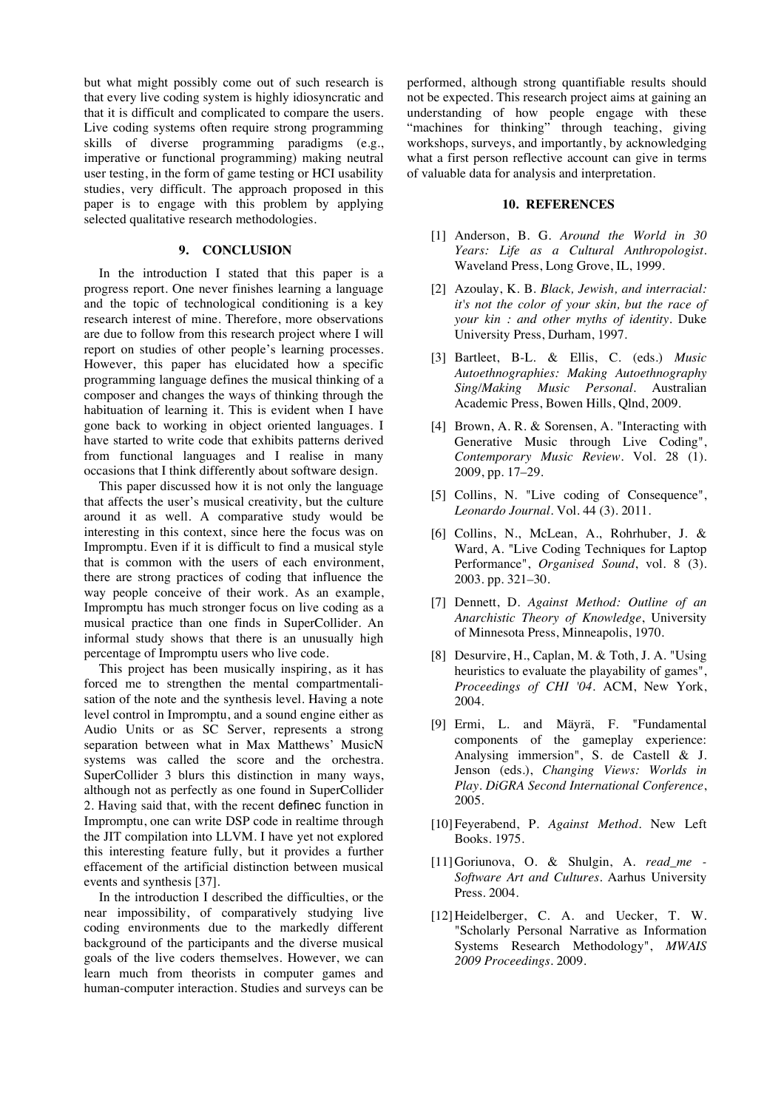but what might possibly come out of such research is that every live coding system is highly idiosyncratic and that it is difficult and complicated to compare the users. Live coding systems often require strong programming skills of diverse programming paradigms (e.g., imperative or functional programming) making neutral user testing, in the form of game testing or HCI usability studies, very difficult. The approach proposed in this paper is to engage with this problem by applying selected qualitative research methodologies.

## **9. CONCLUSION**

In the introduction I stated that this paper is a progress report. One never finishes learning a language and the topic of technological conditioning is a key research interest of mine. Therefore, more observations are due to follow from this research project where I will report on studies of other people's learning processes. However, this paper has elucidated how a specific programming language defines the musical thinking of a composer and changes the ways of thinking through the habituation of learning it. This is evident when I have gone back to working in object oriented languages. I have started to write code that exhibits patterns derived from functional languages and I realise in many occasions that I think differently about software design.

This paper discussed how it is not only the language that affects the user's musical creativity, but the culture around it as well. A comparative study would be interesting in this context, since here the focus was on Impromptu. Even if it is difficult to find a musical style that is common with the users of each environment, there are strong practices of coding that influence the way people conceive of their work. As an example, Impromptu has much stronger focus on live coding as a musical practice than one finds in SuperCollider. An informal study shows that there is an unusually high percentage of Impromptu users who live code.

This project has been musically inspiring, as it has forced me to strengthen the mental compartmentalisation of the note and the synthesis level. Having a note level control in Impromptu, and a sound engine either as Audio Units or as SC Server, represents a strong separation between what in Max Matthews' MusicN systems was called the score and the orchestra. SuperCollider 3 blurs this distinction in many ways, although not as perfectly as one found in SuperCollider 2. Having said that, with the recent definec function in Impromptu, one can write DSP code in realtime through the JIT compilation into LLVM. I have yet not explored this interesting feature fully, but it provides a further effacement of the artificial distinction between musical events and synthesis [37].

In the introduction I described the difficulties, or the near impossibility, of comparatively studying live coding environments due to the markedly different background of the participants and the diverse musical goals of the live coders themselves. However, we can learn much from theorists in computer games and human-computer interaction. Studies and surveys can be performed, although strong quantifiable results should not be expected. This research project aims at gaining an understanding of how people engage with these "machines for thinking" through teaching, giving workshops, surveys, and importantly, by acknowledging what a first person reflective account can give in terms of valuable data for analysis and interpretation.

#### **10. REFERENCES**

- [1] Anderson, B. G. *Around the World in 30 Years: Life as a Cultural Anthropologist*. Waveland Press, Long Grove, IL, 1999.
- [2] Azoulay, K. B. *Black, Jewish, and interracial: it's not the color of your skin, but the race of your kin : and other myths of identity*. Duke University Press, Durham, 1997.
- [3] Bartleet, B-L. & Ellis, C. (eds.) *Music Autoethnographies: Making Autoethnography Sing/Making Music Personal*. Australian Academic Press, Bowen Hills, Qlnd, 2009.
- [4] Brown, A. R. & Sorensen, A. "Interacting with Generative Music through Live Coding", *Contemporary Music Review*. Vol. 28 (1). 2009, pp. 17–29.
- [5] Collins, N. "Live coding of Consequence", *Leonardo Journal*. Vol. 44 (3). 2011.
- [6] Collins, N., McLean, A., Rohrhuber, J. & Ward, A. "Live Coding Techniques for Laptop Performance", *Organised Sound*, vol. 8 (3). 2003. pp. 321–30.
- [7] Dennett, D. *Against Method: Outline of an Anarchistic Theory of Knowledge*, University of Minnesota Press, Minneapolis, 1970.
- [8] Desurvire, H., Caplan, M. & Toth, J. A. "Using heuristics to evaluate the playability of games", *Proceedings of CHI '04*. ACM, New York, 2004.
- [9] Ermi, L. and Mäyrä, F. "Fundamental components of the gameplay experience: Analysing immersion", S. de Castell & J. Jenson (eds.), *Changing Views: Worlds in Play. DiGRA Second International Conference*, 2005.
- [10]Feyerabend, P. *Against Method*. New Left Books. 1975.
- [11]Goriunova, O. & Shulgin, A. *read\_me - Software Art and Cultures*. Aarhus University Press. 2004.
- [12] Heidelberger, C. A. and Uecker, T. W. "Scholarly Personal Narrative as Information Systems Research Methodology", *MWAIS 2009 Proceedings*. 2009.